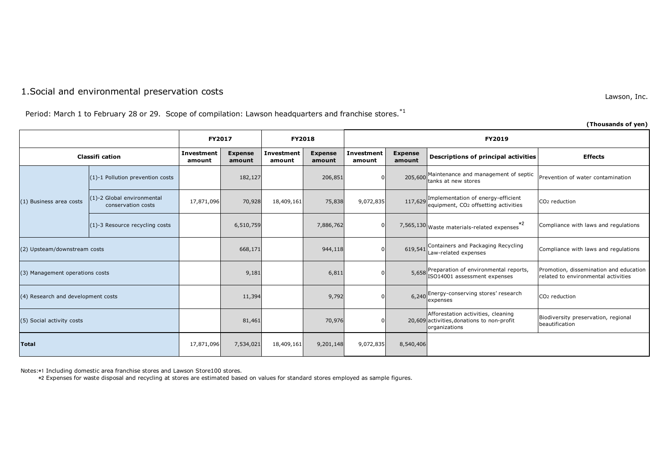## 1.Social and environmental preservation costs

Lawson, Inc.

Period: March 1 to February 28 or 29. Scope of compilation: Lawson headquarters and franchise stores.<sup>\*1</sup>

|                                    |                                                  |                             |                          |                             |                          |                      |                          |                                                                                                   | (Thousands of yen)                                                            |  |
|------------------------------------|--------------------------------------------------|-----------------------------|--------------------------|-----------------------------|--------------------------|----------------------|--------------------------|---------------------------------------------------------------------------------------------------|-------------------------------------------------------------------------------|--|
|                                    |                                                  | <b>FY2017</b>               |                          | <b>FY2018</b>               |                          | <b>FY2019</b>        |                          |                                                                                                   |                                                                               |  |
| <b>Classifi cation</b>             |                                                  | <b>Investment</b><br>amount | <b>Expense</b><br>amount | <b>Investment</b><br>amount | <b>Expense</b><br>amount | Investment<br>amount | <b>Expense</b><br>amount | Descriptions of principal activities                                                              | <b>Effects</b>                                                                |  |
|                                    | (1)-1 Pollution prevention costs                 |                             | 182,127                  |                             | 206,851                  |                      | 205,600                  | Maintenance and management of septic<br>tanks at new stores                                       | Prevention of water contamination                                             |  |
| (1) Business area costs            | (1)-2 Global environmental<br>conservation costs | 17,871,096                  | 70,928                   | 18,409,161                  | 75,838                   | 9,072,835            |                          | 117,629 Implementation of energy-efficient<br>equipment, CO2 offsetting activities                | CO <sub>2</sub> reduction                                                     |  |
|                                    | (1)-3 Resource recycling costs                   |                             | 6,510,759                |                             | 7,886,762                |                      |                          | $*2$<br>7,565,130 Waste materials-related expenses                                                | Compliance with laws and regulations                                          |  |
| (2) Upsteam/downstream costs       |                                                  |                             | 668,171                  |                             | 944,118                  |                      |                          | 619,541 Containers and Packaging Recycling<br>Law-related expenses                                | Compliance with laws and regulations                                          |  |
| (3) Management operations costs    |                                                  |                             | 9,181                    |                             | 6,811                    |                      | 5,658                    | Preparation of environmental reports,<br>ISO14001 assessment expenses                             | Promotion, dissemination and education<br>related to environmental activities |  |
| (4) Research and development costs |                                                  |                             | 11,394                   |                             | 9,792                    |                      |                          | 6,240 Energy-conserving stores' research<br>expenses                                              | CO <sub>2</sub> reduction                                                     |  |
| (5) Social activity costs          |                                                  |                             | 81,461                   |                             | 70,976                   |                      |                          | Afforestation activities, cleaning<br>20,609 activities, donations to non-profit<br>organizations | Biodiversity preservation, regional<br>beautification                         |  |
| <b>Total</b>                       |                                                  | 17,871,096                  | 7,534,021                | 18,409,161                  | 9,201,148                | 9,072,835            | 8,540,406                |                                                                                                   |                                                                               |  |

Notes:\*1 Including domestic area franchise stores and Lawson Store100 stores.

\*2 Expenses for waste disposal and recycling at stores are estimated based on values for standard stores employed as sample figures.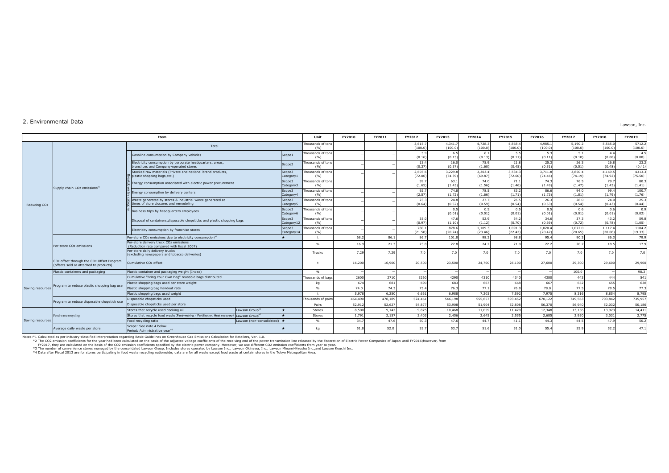## 2. Environmental Data

Lawson, Inc.

|                                                   |                                                                                     | Item                                                                                                      |                          | Unit                       | FY2010  | FY2011  | FY2012             | FY2013             | FY2014             | FY2015             | FY2016             | FY2017             | FY2018             | FY2019            |
|---------------------------------------------------|-------------------------------------------------------------------------------------|-----------------------------------------------------------------------------------------------------------|--------------------------|----------------------------|---------|---------|--------------------|--------------------|--------------------|--------------------|--------------------|--------------------|--------------------|-------------------|
|                                                   |                                                                                     | Total                                                                                                     |                          | Thousands of tons<br>(96)  |         |         | 3,615.7<br>(100.0) | 4,341.7<br>(100.0) | 4,728.3<br>(100.0) | 4,868.4<br>(100.0) | 4,985.<br>(100.0)  | 5,190.2<br>(100.0) | 5,565.<br>(100.0)  | 5712.2<br>(100.0) |
|                                                   |                                                                                     | Gasoline consumption by Company vehicles                                                                  | Scope1                   | Thousands of tons<br>(%)   |         |         | 5.9<br>(0.16)      | 6.5<br>(0.15)      | - 6.1<br>(0.13)    | 5.5<br>(0.11)      | 5.3<br>(0.11)      | 5.1<br>(0.10)      | 4.4<br>(0.08)      | 4.5<br>(0.08)     |
|                                                   |                                                                                     | Electricity consumption by corporate headquarters, areas,<br>branchces and Company-operated stores        | Scope2                   | Thousands of tons<br>(96)  |         |         | 13.4<br>(0.37)     | 16.0<br>(0.37)     | 75.9<br>(1.60)     | 21.8<br>(0.45)     | 25.3<br>(0.51)     | 26.3<br>(0.51)     | 26.8<br>(0.48)     | 23.2<br>(0.41)    |
|                                                   | Supply chain CO <sub>2</sub> emissions <sup>*1</sup>                                | Stocked raw materials (Private and national brand products,<br>plastic shopping bags, etc.)               | Scope3<br>Category1      | Thousands of tons<br>(%)   |         |         | 2,605.6<br>(72.06) | 3.229.8<br>(74.39) | 3,303.4<br>(69.87) | 3.534.3<br>(72.60) | 3,711.8<br>(74.46) | 3,850.4<br>(74.19) | 4,169.5<br>(74.92) | 4313.3<br>(75.50) |
| Reducing CO <sub>2</sub>                          |                                                                                     | Energy consumption associated with electric power procurement                                             | Scope3<br>Category3      | Thousands of tons<br>(%)   |         |         | 59.7<br>(1.65)     | 63.1<br>(1.45)     | 74.0<br>(1.56)     | 71.1<br>(1.46)     | 74.3<br>(1.49)     | 76.5<br>(1.47)     | 79.7<br>(1.43)     | 80.3<br>(1.41)    |
|                                                   |                                                                                     | Figures Energy consumption by delivery centers                                                            | Scope3<br>Category4      | Thousands of tons<br>(%)   |         |         | 92.7<br>(2.57)     | 74.8<br>(1.72)     | 78.5<br>(1.66)     | 83.2<br>(1.71)     | 86.6<br>(1.73)     | 94.0<br>(1.81)     | 99.4<br>(1.79)     | 100.7<br>(1.76)   |
|                                                   |                                                                                     | Waste generated by stores & industrial waste generated at<br>times of store closures and remodeling       | Scope3<br>Category5      | Thousands of tons<br>(9/6) |         |         | 23.3<br>(0.64)     | 24.8<br>(0.57)     | 27.7<br>(0.59)     | 26.5<br>(0.54)     | 26.3<br>(0.53)     | 28.0<br>(0.54)     | 24.0<br>(0.43)     | 25.3<br>(0.44)    |
|                                                   |                                                                                     | Business trips by headquarters employees                                                                  | Scope3<br>Category6      | Thousands of tons<br>(%)   |         |         |                    | 0.5<br>(0.01)      | 0.5<br>(0.01)      | 0.5<br>(0.01)      | 0.5<br>(0.01)      | 0.6<br>(0.01)      | 0.6<br>(0.01)      | 0.9<br>(0.02)     |
|                                                   |                                                                                     | Disposal of containers, disposable chopsticks and plastic shopping bags                                   | Scope3<br>Category12     | Thousands of tons<br>(%)   |         |         | 35.0<br>(0.97)     | 47.6<br>(1.10)     | 52.9<br>(1.12)     | 34.2<br>(0.70)     | 34.6<br>(0.69)     | 37.3<br>(0.72)     | 43.2<br>(0.78)     | 59.8<br>(1.05)    |
|                                                   |                                                                                     | Electricity consumption by franchise stores                                                               | Scope3<br>Category14     | Thousands of tons<br>(%)   |         |         | 780.1<br>(21.58)   | 878.6<br>(20.24)   | 1,109.3<br>(23.46) | 1,091.3<br>(22.42) | 1,020.4<br>(20.47) | 1,072.0<br>(20.65) | 1,117.<br>(20.08)  | 1104.2<br>(19.33) |
|                                                   | Per-store CO <sub>2</sub> emissions                                                 | Per-store CO <sub>2</sub> emissions due to electricity consumption <sup>*2</sup>                          |                          | $+$                        | 68.2    | 86.1    | 86.7               | 101.8              | 98.3               | 98.8               | 95.4               | 90.3               | 86.3               | 79.9              |
|                                                   |                                                                                     | Per-store delivery truck CO <sub>2</sub> emissions<br>(Reduction rate compared with fiscal 2007)          |                          | 96                         | 16.9    | 21.3    | 23.8               | 22.8               | 24.2               | 21.0               | 22.2               | 20.2               | 18.                | 17.9              |
|                                                   |                                                                                     | Per-store daily delivery trucks<br>(excluding newspapers and tobacco deliveries)                          |                          | Trucks                     | 7.29    | 7.29    | 7.0                | 7.0                | 7.0                | 7.0                | 7.0                | 7.0                | 7.0                | 7.0               |
|                                                   | CO2 offset through the CO2 Offset Program<br>(offsets sold or attached to products) | Cumulative CO <sub>2</sub> offset                                                                         |                          |                            | 16,200  | 16,900  | 20,500             | 23,500             | 24,700             | 26,100             | 27,600             | 29,300             | 29,600             | 29,900            |
|                                                   | Plastic containers and packaging                                                    | Plastic container and packaging weight (Index)                                                            |                          | $Q_0$                      |         |         |                    |                    |                    |                    |                    | 100.0              |                    | 98.3              |
| Saving resources                                  | Cumulative "Bring Your Own Bag" reusable bags distributed                           |                                                                                                           |                          | Thousands of bags          | 2600    | 2710    | 3260               | 4290               | 4310               | 4340               | 4380               | 443                | 444                | 541               |
|                                                   |                                                                                     | Plastic shopping bags used per store weight                                                               |                          | ka                         | 674     | 681     | 690                | 683                | 667                | 668                | 667                | 652                | 655                | 638               |
|                                                   | Program to reduce plastic shopping bag use                                          | Plastic shopping bag handout rate                                                                         |                          | 0/2                        | 74.0    | 74.3    | 75.4               | 76.3               | 77.1               | 76.8               | 78.0               | 77.5               | 78.5               | 77.3              |
|                                                   |                                                                                     | Plastic shopping bags used weight                                                                         |                          |                            | 5.978   | 6.250   | 6.661              | 6,988              | 7.203              | 7.592              | 7.975              | 8.316              | 8.854              | 8.795             |
|                                                   | Program to reduce disposable chopstick use                                          | Disposable chopsticks used                                                                                |                          | Thousands of pairs         | 464,490 | 478,189 | 524,461            | 546,198            | 555,657            | 593,452            | 670,122            | 749,563            | 703,842            | 735,957           |
|                                                   |                                                                                     | Disposable chopsticks used per store                                                                      |                          | Pairs                      | 52,912  | 52,627  | 54,877             | 53,908             | 51,904             | 52,808             | 56,370             | 56,940             | 52,032             | 50,186            |
|                                                   |                                                                                     | Lawson Group <sup>*3</sup><br>Stores that recycle used cooking oil                                        | $\overline{\phantom{a}}$ | Stores                     | 8,500   | 9,142   | 9,875              | 10,468             | 11,059             | 11,470             | 12,348             | 13,156             | 13,973             | 14,411            |
|                                                   | Food waste recycling                                                                | Stores that recycle food waste (Feed-making / Fertilization, Heat recovery)<br>Lawson Group <sup>*3</sup> | $\star$                  | Stores                     | 1,791   | 2,157   | 2,403              | 2,456              | 2,645              | 2,555              | 2,685              | 2,950              | 3,031              | 2,775             |
| Saving resources<br>Average daily waste per store |                                                                                     | Food recycling ratio<br>Lawson (non-consolidated) *                                                       |                          | %                          | 34.7    | 47.6    | 50.3               | 47.6               | 44.7               | 41.1               | 44.3               | 44.5               | 47.9               | 50.2              |
|                                                   |                                                                                     | Scope: See note 4 below.<br>Period: Administrative vear*4                                                 |                          | ka                         | 51.8    | 52.0    | 53.7               | 53.7               | 51.6               | 51.0               | 55.4               | 55.9               | 52.2               | 47.1              |

Notes:\*1 Calculated as per industry-classified interpretation regarding Basic Guidelines on Greenhouse Gas Emissions Celculated on the basis of the adjusted on the basis of the adjusted ordital exceptible the receiving end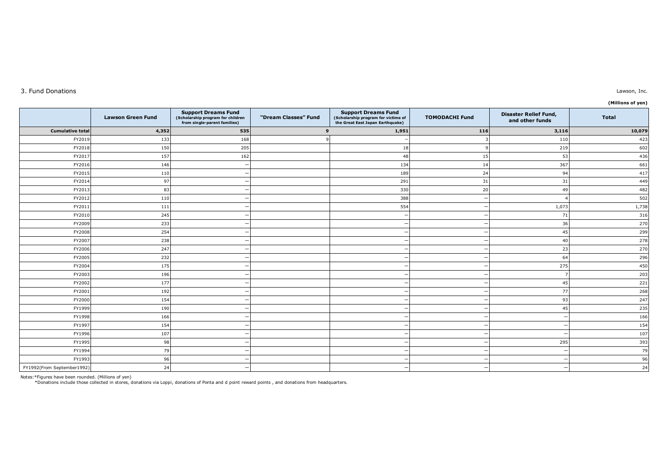## 3. Fund Donations

|                            |                          |                                                                                                 |                      |                                                                                                       |                       |                                                 | (Millions of yen) |
|----------------------------|--------------------------|-------------------------------------------------------------------------------------------------|----------------------|-------------------------------------------------------------------------------------------------------|-----------------------|-------------------------------------------------|-------------------|
|                            | <b>Lawson Green Fund</b> | <b>Support Dreams Fund</b><br>(Scholarship program for children<br>from single-parent families) | "Dream Classes" Fund | <b>Support Dreams Fund</b><br>(Scholarship program for victims of<br>the Great East Japan Earthquake) | <b>TOMODACHI Fund</b> | <b>Disaster Relief Fund,</b><br>and other funds | <b>Total</b>      |
| <b>Cumulative total</b>    | 4,352                    | 535                                                                                             | 9                    | 1,951                                                                                                 | 116                   | 3,116                                           | 10,079            |
| FY2019                     | 133                      | 168                                                                                             | $\circ$              |                                                                                                       |                       | 110                                             | 423               |
| FY2018                     | 150                      | 205                                                                                             |                      | 18                                                                                                    |                       | 219                                             | 602               |
| FY2017                     | 157                      | 162                                                                                             |                      | 48                                                                                                    | 15                    | 53                                              | 436               |
| FY2016                     | 146                      |                                                                                                 |                      | 134                                                                                                   | 14                    | 367                                             | 661               |
| FY2015                     | 110                      |                                                                                                 |                      | 189                                                                                                   | 24                    | 94                                              | 417               |
| FY2014                     | 97                       |                                                                                                 |                      | 291                                                                                                   | 31                    | 31                                              | 449               |
| FY2013                     | 83                       |                                                                                                 |                      | 330                                                                                                   | 20                    | 49                                              | 482               |
| FY2012                     | 110                      |                                                                                                 |                      | 388                                                                                                   |                       |                                                 | 502               |
| FY2011                     | 111                      |                                                                                                 |                      | 554                                                                                                   |                       | 1,073                                           | 1,738             |
| FY2010                     | 245                      |                                                                                                 |                      |                                                                                                       |                       | 71                                              | 316               |
| FY2009                     | 233                      |                                                                                                 |                      |                                                                                                       |                       | 36                                              | 270               |
| FY2008                     | 254                      |                                                                                                 |                      |                                                                                                       |                       | 45                                              | 299               |
| FY2007                     | 238                      |                                                                                                 |                      |                                                                                                       |                       | 40                                              | 278               |
| FY2006                     | 247                      |                                                                                                 |                      |                                                                                                       |                       | 23                                              | 270               |
| FY2005                     | 232                      |                                                                                                 |                      |                                                                                                       |                       | 64                                              | 296               |
| FY2004                     | 175                      |                                                                                                 |                      |                                                                                                       |                       | 275                                             | 450               |
| FY2003                     | 196                      |                                                                                                 |                      |                                                                                                       |                       |                                                 | 203               |
| FY2002                     | 177                      |                                                                                                 |                      |                                                                                                       |                       | 45                                              | 221               |
| FY2001                     | 192                      |                                                                                                 |                      |                                                                                                       |                       | 77                                              | 268               |
| FY2000                     | 154                      |                                                                                                 |                      |                                                                                                       |                       | 93                                              | 247               |
| FY1999                     | 190                      |                                                                                                 |                      |                                                                                                       |                       | 45                                              | 235               |
| FY1998                     | 166                      |                                                                                                 |                      |                                                                                                       |                       |                                                 | 166               |
| FY1997                     | 154                      |                                                                                                 |                      |                                                                                                       |                       |                                                 | 154               |
| FY1996                     | 107                      |                                                                                                 |                      |                                                                                                       |                       |                                                 | 107               |
| FY1995                     | 98                       |                                                                                                 |                      |                                                                                                       |                       | 295                                             | 393               |
| FY1994                     | 79                       |                                                                                                 |                      |                                                                                                       |                       |                                                 | 79                |
| FY1993                     | 96                       |                                                                                                 |                      |                                                                                                       |                       |                                                 | 96                |
| FY1992(From September1992) | 24                       |                                                                                                 |                      |                                                                                                       |                       |                                                 | 24                |

Notes:\*Figures have been rounded. (Millions of yen) \*Donations include those collected in stores, donations via Loppi, donations of Ponta and d point reward points , and donations from headquarters.